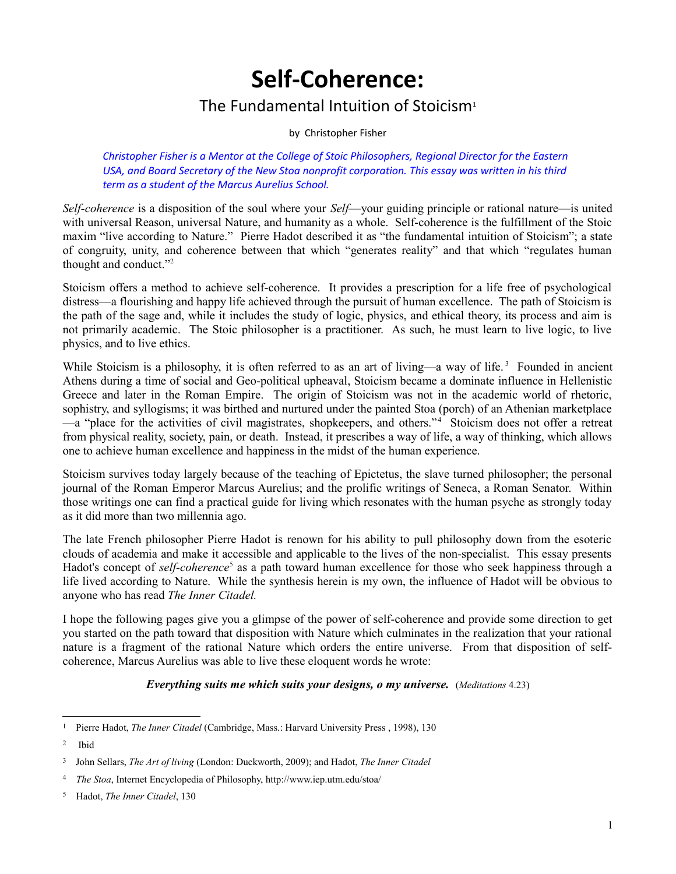# **Self-Coherence:**

### The Fundamental Intuition of Stoicism<sup>[1](#page-0-0)</sup>

by Christopher Fisher

*Christopher Fisher is a Mentor at the College of Stoic Philosophers, Regional Director for the Eastern USA, and Board Secretary of the New Stoa nonprofit corporation. This essay was written in his third term as a student of the Marcus Aurelius School.*

*Self-coherence* is a disposition of the soul where your *Self*—your guiding principle or rational nature—is united with universal Reason, universal Nature, and humanity as a whole. Self-coherence is the fulfillment of the Stoic maxim "live according to Nature." Pierre Hadot described it as "the fundamental intuition of Stoicism"; a state of congruity, unity, and coherence between that which "generates reality" and that which "regulates human thought and conduct."[2](#page-0-1)

Stoicism offers a method to achieve self-coherence. It provides a prescription for a life free of psychological distress—a flourishing and happy life achieved through the pursuit of human excellence. The path of Stoicism is the path of the sage and, while it includes the study of logic, physics, and ethical theory, its process and aim is not primarily academic. The Stoic philosopher is a practitioner. As such, he must learn to live logic, to live physics, and to live ethics.

While Stoicism is a philosophy, it is often referred to as an art of living—a way of life.<sup>[3](#page-0-2)</sup> Founded in ancient Athens during a time of social and Geo-political upheaval, Stoicism became a dominate influence in Hellenistic Greece and later in the Roman Empire. The origin of Stoicism was not in the academic world of rhetoric, sophistry, and syllogisms; it was birthed and nurtured under the painted Stoa (porch) of an Athenian marketplace —a "place for the activities of civil magistrates, shopkeepers, and others."<sup>[4](#page-0-3)</sup> Stoicism does not offer a retreat from physical reality, society, pain, or death. Instead, it prescribes a way of life, a way of thinking, which allows one to achieve human excellence and happiness in the midst of the human experience.

Stoicism survives today largely because of the teaching of Epictetus, the slave turned philosopher; the personal journal of the Roman Emperor Marcus Aurelius; and the prolific writings of Seneca, a Roman Senator. Within those writings one can find a practical guide for living which resonates with the human psyche as strongly today as it did more than two millennia ago.

The late French philosopher Pierre Hadot is renown for his ability to pull philosophy down from the esoteric clouds of academia and make it accessible and applicable to the lives of the non-specialist. This essay presents Hadot's concept of *self-coherence*<sup>[5](#page-0-4)</sup> as a path toward human excellence for those who seek happiness through a life lived according to Nature. While the synthesis herein is my own, the influence of Hadot will be obvious to anyone who has read *The Inner Citadel.* 

I hope the following pages give you a glimpse of the power of self-coherence and provide some direction to get you started on the path toward that disposition with Nature which culminates in the realization that your rational nature is a fragment of the rational Nature which orders the entire universe. From that disposition of selfcoherence, Marcus Aurelius was able to live these eloquent words he wrote:

### *Everything suits me which suits your designs, o my universe.* (*Meditations* 4.23)

<span id="page-0-0"></span><sup>1</sup> Pierre Hadot, *The Inner Citadel* (Cambridge, Mass.: Harvard University Press , 1998), 130

<span id="page-0-1"></span><sup>2</sup> Ibid

<span id="page-0-2"></span><sup>3</sup> John Sellars, *The Art of living* (London: Duckworth, 2009); and Hadot, *The Inner Citadel*

<span id="page-0-3"></span><sup>4</sup>  *The Stoa*, Internet Encyclopedia of Philosophy, http://www.iep.utm.edu/stoa/

<span id="page-0-4"></span><sup>5</sup> Hadot, *The Inner Citadel*, 130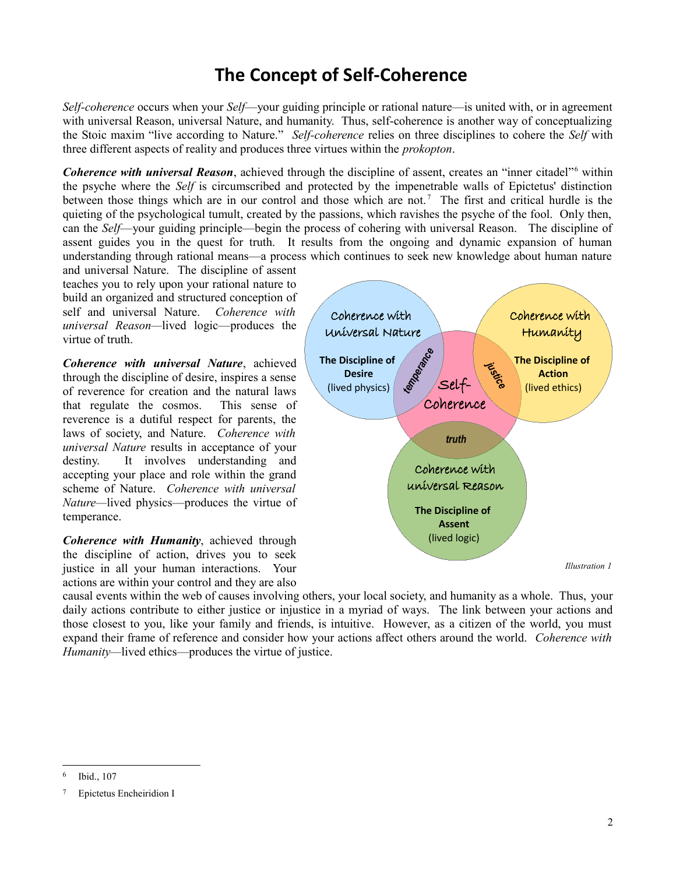# **The Concept of Self-Coherence**

*Self-coherence* occurs when your *Self*—your guiding principle or rational nature—is united with, or in agreement with universal Reason, universal Nature, and humanity. Thus, self-coherence is another way of conceptualizing the Stoic maxim "live according to Nature." *Self-coherence* relies on three disciplines to cohere the *Self* with three different aspects of reality and produces three virtues within the *prokopton*.

Coherence with universal Reason, achieved through the discipline of assent, creates an "inner citadel"<sup>[6](#page-1-0)</sup> within the psyche where the *Self* is circumscribed and protected by the impenetrable walls of Epictetus' distinction between those things which are in our control and those which are not.<sup>[7](#page-1-1)</sup> The first and critical hurdle is the quieting of the psychological tumult, created by the passions, which ravishes the psyche of the fool. Only then, can the *Self*—your guiding principle—begin the process of cohering with universal Reason. The discipline of assent guides you in the quest for truth. It results from the ongoing and dynamic expansion of human understanding through rational means—a process which continues to seek new knowledge about human nature

and universal Nature. The discipline of assent teaches you to rely upon your rational nature to build an organized and structured conception of self and universal Nature. *Coherence with universal Reason—*lived logic—produces the virtue of truth.

*Coherence with universal Nature*, achieved through the discipline of desire, inspires a sense of reverence for creation and the natural laws that regulate the cosmos. This sense of reverence is a dutiful respect for parents, the laws of society, and Nature. *Coherence with universal Nature* results in acceptance of your destiny. It involves understanding and accepting your place and role within the grand scheme of Nature. *Coherence with universal Nature—*lived physics—produces the virtue of temperance.

*Coherence with Humanity*, achieved through the discipline of action, drives you to seek justice in all your human interactions. Your actions are within your control and they are also

*Illustration 1* Coherence with Humanity **The Discipline of Action** (lived ethics) Coherence with Universal Nature **The Discipline of Desire** (lived physics) Coherence with universal Reason **The Discipline of Assent** (lived logic) Self-Coherence **temperance** *justice truth*

causal events within the web of causes involving others, your local society, and humanity as a whole. Thus, your daily actions contribute to either justice or injustice in a myriad of ways. The link between your actions and those closest to you, like your family and friends, is intuitive. However, as a citizen of the world, you must expand their frame of reference and consider how your actions affect others around the world. *Coherence with Humanity—*lived ethics—produces the virtue of justice.

<span id="page-1-0"></span><sup>6</sup> Ibid., 107

<span id="page-1-1"></span><sup>7</sup> Epictetus Encheiridion I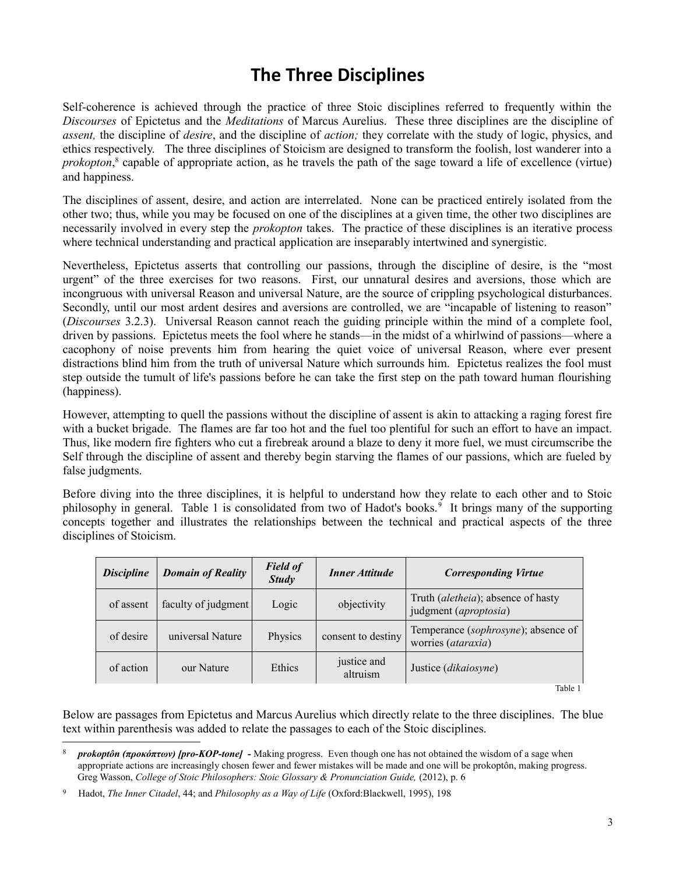# **The Three Disciplines**

Self-coherence is achieved through the practice of three Stoic disciplines referred to frequently within the *Discourses* of Epictetus and the *Meditations* of Marcus Aurelius. These three disciplines are the discipline of *assent,* the discipline of *desire*, and the discipline of *action;* they correlate with the study of logic, physics, and ethics respectively. The three disciplines of Stoicism are designed to transform the foolish, lost wanderer into a *prokopton*, [8](#page-2-0) capable of appropriate action, as he travels the path of the sage toward a life of excellence (virtue) and happiness.

The disciplines of assent, desire, and action are interrelated. None can be practiced entirely isolated from the other two; thus, while you may be focused on one of the disciplines at a given time, the other two disciplines are necessarily involved in every step the *prokopton* takes. The practice of these disciplines is an iterative process where technical understanding and practical application are inseparably intertwined and synergistic.

Nevertheless, Epictetus asserts that controlling our passions, through the discipline of desire, is the "most urgent" of the three exercises for two reasons. First, our unnatural desires and aversions, those which are incongruous with universal Reason and universal Nature, are the source of crippling psychological disturbances. Secondly, until our most ardent desires and aversions are controlled, we are "incapable of listening to reason" (*Discourses* 3.2.3). Universal Reason cannot reach the guiding principle within the mind of a complete fool, driven by passions. Epictetus meets the fool where he stands—in the midst of a whirlwind of passions—where a cacophony of noise prevents him from hearing the quiet voice of universal Reason, where ever present distractions blind him from the truth of universal Nature which surrounds him. Epictetus realizes the fool must step outside the tumult of life's passions before he can take the first step on the path toward human flourishing (happiness).

However, attempting to quell the passions without the discipline of assent is akin to attacking a raging forest fire with a bucket brigade. The flames are far too hot and the fuel too plentiful for such an effort to have an impact. Thus, like modern fire fighters who cut a firebreak around a blaze to deny it more fuel, we must circumscribe the Self through the discipline of assent and thereby begin starving the flames of our passions, which are fueled by false judgments.

Before diving into the three disciplines, it is helpful to understand how they relate to each other and to Stoic philosophy in general. Table 1 is consolidated from two of Hadot's books.<sup>[9](#page-2-1)</sup> It brings many of the supporting concepts together and illustrates the relationships between the technical and practical aspects of the three disciplines of Stoicism.

| <i>Discipline</i> | <b>Domain of Reality</b> | <b>Field of</b><br><b>Study</b> | <b>Inner Attitude</b>   | <b>Corresponding Virtue</b>                                 |
|-------------------|--------------------------|---------------------------------|-------------------------|-------------------------------------------------------------|
| of assent         | faculty of judgment      | Logic                           | objectivity             | Truth (aletheia); absence of hasty<br>judgment (aproptosia) |
| of desire         | universal Nature         | Physics                         | consent to destiny      | Temperance (sophrosyne); absence of<br>worries (ataraxia)   |
| of action         | our Nature               | Ethics                          | justice and<br>altruism | Justice ( <i>dikaiosyne</i> )                               |

Table 1

Below are passages from Epictetus and Marcus Aurelius which directly relate to the three disciplines. The blue text within parenthesis was added to relate the passages to each of the Stoic disciplines.

<span id="page-2-0"></span><sup>8</sup> *prokoptôn (προκόπτων) [pro-KOP-tone] -* Making progress. Even though one has not obtained the wisdom of a sage when appropriate actions are increasingly chosen fewer and fewer mistakes will be made and one will be prokoptôn, making progress. Greg Wasson, *College of Stoic Philosophers: Stoic Glossary & Pronunciation Guide,* (2012), p. 6

<span id="page-2-1"></span><sup>9</sup> Hadot, *The Inner Citadel*, 44; and *Philosophy as a Way of Life* (Oxford:Blackwell, 1995), 198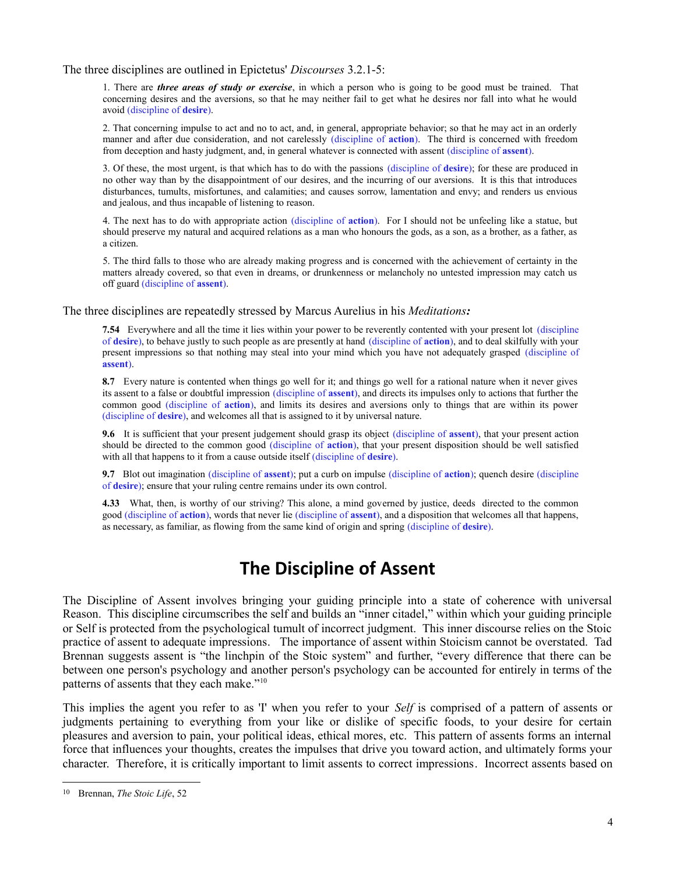The three disciplines are outlined in Epictetus' *Discourses* 3.2.1-5:

1. There are *three areas of study or exercise*, in which a person who is going to be good must be trained. That concerning desires and the aversions, so that he may neither fail to get what he desires nor fall into what he would avoid (discipline of **desire**).

2. That concerning impulse to act and no to act, and, in general, appropriate behavior; so that he may act in an orderly manner and after due consideration, and not carelessly (discipline of **action**). The third is concerned with freedom from deception and hasty judgment, and, in general whatever is connected with assent (discipline of **assent**).

3. Of these, the most urgent, is that which has to do with the passions (discipline of **desire**); for these are produced in no other way than by the disappointment of our desires, and the incurring of our aversions. It is this that introduces disturbances, tumults, misfortunes, and calamities; and causes sorrow, lamentation and envy; and renders us envious and jealous, and thus incapable of listening to reason.

4. The next has to do with appropriate action (discipline of **action**). For I should not be unfeeling like a statue, but should preserve my natural and acquired relations as a man who honours the gods, as a son, as a brother, as a father, as a citizen.

5. The third falls to those who are already making progress and is concerned with the achievement of certainty in the matters already covered, so that even in dreams, or drunkenness or melancholy no untested impression may catch us off guard (discipline of **assent**).

The three disciplines are repeatedly stressed by Marcus Aurelius in his *Meditations:*

**7.54** Everywhere and all the time it lies within your power to be reverently contented with your present lot (discipline of **desire**), to behave justly to such people as are presently at hand (discipline of **action**), and to deal skilfully with your present impressions so that nothing may steal into your mind which you have not adequately grasped (discipline of **assent**).

**8.7** Every nature is contented when things go well for it; and things go well for a rational nature when it never gives its assent to a false or doubtful impression (discipline of **assent**), and directs its impulses only to actions that further the common good (discipline of **action**), and limits its desires and aversions only to things that are within its power (discipline of **desire**), and welcomes all that is assigned to it by universal nature.

**9.6** It is sufficient that your present judgement should grasp its object (discipline of **assent**), that your present action should be directed to the common good (discipline of **action**), that your present disposition should be well satisfied with all that happens to it from a cause outside itself (discipline of **desire**).

**9.7** Blot out imagination (discipline of **assent**); put a curb on impulse (discipline of **action**); quench desire (discipline of **desire**); ensure that your ruling centre remains under its own control.

**4.33** What, then, is worthy of our striving? This alone, a mind governed by justice, deeds directed to the common good (discipline of **action**), words that never lie (discipline of **assent**), and a disposition that welcomes all that happens, as necessary, as familiar, as flowing from the same kind of origin and spring (discipline of **desire**).

## **The Discipline of Assent**

The Discipline of Assent involves bringing your guiding principle into a state of coherence with universal Reason. This discipline circumscribes the self and builds an "inner citadel," within which your guiding principle or Self is protected from the psychological tumult of incorrect judgment. This inner discourse relies on the Stoic practice of assent to adequate impressions. The importance of assent within Stoicism cannot be overstated. Tad Brennan suggests assent is "the linchpin of the Stoic system" and further, "every difference that there can be between one person's psychology and another person's psychology can be accounted for entirely in terms of the patterns of assents that they each make."<sup>[10](#page-3-0)</sup>

This implies the agent you refer to as 'I' when you refer to your *Self* is comprised of a pattern of assents or judgments pertaining to everything from your like or dislike of specific foods, to your desire for certain pleasures and aversion to pain, your political ideas, ethical mores, etc. This pattern of assents forms an internal force that influences your thoughts, creates the impulses that drive you toward action, and ultimately forms your character. Therefore, it is critically important to limit assents to correct impressions. Incorrect assents based on

<span id="page-3-0"></span><sup>10</sup> Brennan, *The Stoic Life*, 52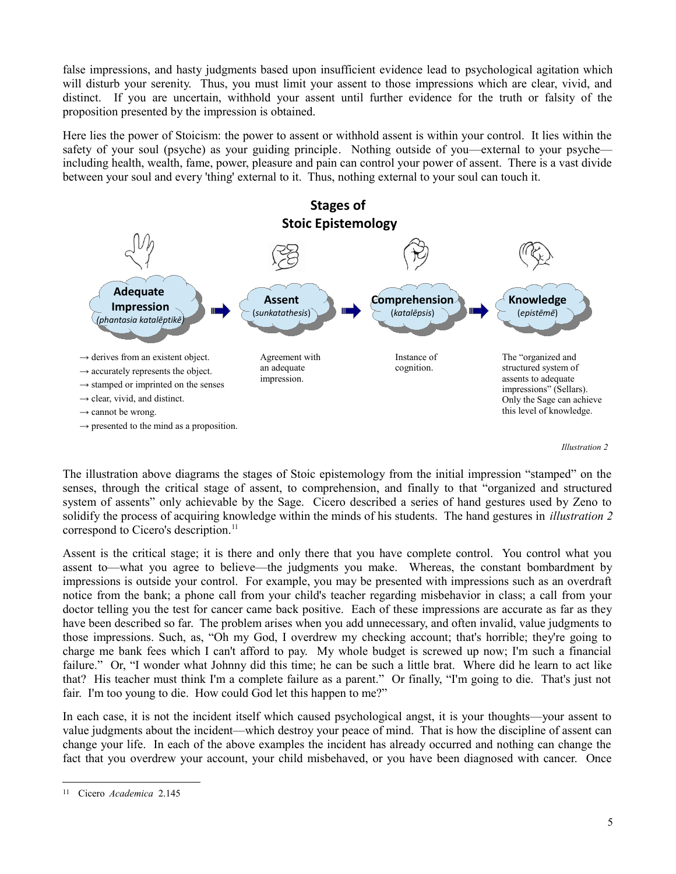false impressions, and hasty judgments based upon insufficient evidence lead to psychological agitation which will disturb your serenity. Thus, you must limit your assent to those impressions which are clear, vivid, and distinct. If you are uncertain, withhold your assent until further evidence for the truth or falsity of the proposition presented by the impression is obtained.

Here lies the power of Stoicism: the power to assent or withhold assent is within your control. It lies within the safety of your soul (psyche) as your guiding principle. Nothing outside of you—external to your psyche including health, wealth, fame, power, pleasure and pain can control your power of assent. There is a vast divide between your soul and every 'thing' external to it. Thus, nothing external to your soul can touch it.



*Illustration 2*

The illustration above diagrams the stages of Stoic epistemology from the initial impression "stamped" on the senses, through the critical stage of assent, to comprehension, and finally to that "organized and structured system of assents" only achievable by the Sage. Cicero described a series of hand gestures used by Zeno to solidify the process of acquiring knowledge within the minds of his students. The hand gestures in *illustration 2* correspond to Cicero's description.<sup>[11](#page-4-0)</sup>

Assent is the critical stage; it is there and only there that you have complete control. You control what you assent to—what you agree to believe—the judgments you make. Whereas, the constant bombardment by impressions is outside your control. For example, you may be presented with impressions such as an overdraft notice from the bank; a phone call from your child's teacher regarding misbehavior in class; a call from your doctor telling you the test for cancer came back positive. Each of these impressions are accurate as far as they have been described so far. The problem arises when you add unnecessary, and often invalid, value judgments to those impressions. Such, as, "Oh my God, I overdrew my checking account; that's horrible; they're going to charge me bank fees which I can't afford to pay. My whole budget is screwed up now; I'm such a financial failure." Or, "I wonder what Johnny did this time; he can be such a little brat. Where did he learn to act like that? His teacher must think I'm a complete failure as a parent." Or finally, "I'm going to die. That's just not fair. I'm too young to die. How could God let this happen to me?"

In each case, it is not the incident itself which caused psychological angst, it is your thoughts—your assent to value judgments about the incident—which destroy your peace of mind. That is how the discipline of assent can change your life. In each of the above examples the incident has already occurred and nothing can change the fact that you overdrew your account, your child misbehaved, or you have been diagnosed with cancer. Once

<span id="page-4-0"></span><sup>11</sup> Cicero *Academica* 2.145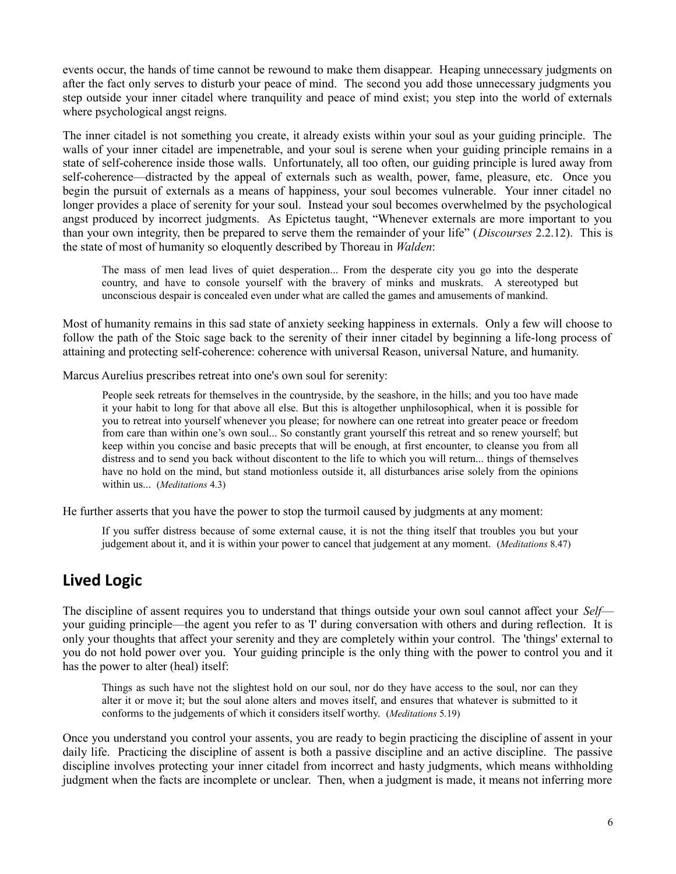events occur, the hands of time cannot be rewound to make them disappear. Heaping unnecessary judgments on after the fact only serves to disturb your peace of mind. The second you add those unnecessary judgments you step outside your inner citadel where tranquility and peace of mind exist; you step into the world of externals where psychological angst reigns.

The inner citadel is not something you create, it already exists within your soul as your guiding principle. The walls of your inner citadel are impenetrable, and your soul is serene when your guiding principle remains in a state of self-coherence inside those walls. Unfortunately, all too often, our guiding principle is lured away from self-coherence—distracted by the appeal of externals such as wealth, power, fame, pleasure, etc. Once you begin the pursuit of externals as a means of happiness, your soul becomes vulnerable. Your inner citadel no longer provides a place of serenity for your soul. Instead your soul becomes overwhelmed by the psychological angst produced by incorrect judgments. As Epictetus taught, "Whenever externals are more important to you than your own integrity, then be prepared to serve them the remainder of your life" (*Discourses* 2.2.12).This is the state of most of humanity so eloquently described by Thoreau in *Walden*:

The mass of men lead lives of quiet desperation... From the desperate city you go into the desperate country, and have to console yourself with the bravery of minks and muskrats. A stereotyped but unconscious despair is concealed even under what are called the games and amusements of mankind.

Most of humanity remains in this sad state of anxiety seeking happiness in externals. Only a few will choose to follow the path of the Stoic sage back to the serenity of their inner citadel by beginning a life-long process of attaining and protecting self-coherence: coherence with universal Reason, universal Nature, and humanity.

Marcus Aurelius prescribes retreat into one's own soul for serenity:

People seek retreats for themselves in the countryside, by the seashore, in the hills; and you too have made it your habit to long for that above all else. But this is altogether unphilosophical, when it is possible for you to retreat into yourself whenever you please; for nowhere can one retreat into greater peace or freedom from care than within one's own soul... So constantly grant yourself this retreat and so renew yourself; but keep within you concise and basic precepts that will be enough, at first encounter, to cleanse you from all distress and to send you back without discontent to the life to which you will return... things of themselves have no hold on the mind, but stand motionless outside it, all disturbances arise solely from the opinions within us... (*Meditations* 4.3)

He further asserts that you have the power to stop the turmoil caused by judgments at any moment:

If you suffer distress because of some external cause, it is not the thing itself that troubles you but your judgement about it, and it is within your power to cancel that judgement at any moment. (*Meditations* 8.47)

### **Lived Logic**

The discipline of assent requires you to understand that things outside your own soul cannot affect your *Self* your guiding principle—the agent you refer to as 'I' during conversation with others and during reflection. It is only your thoughts that affect your serenity and they are completely within your control. The 'things' external to you do not hold power over you. Your guiding principle is the only thing with the power to control you and it has the power to alter (heal) itself:

Things as such have not the slightest hold on our soul, nor do they have access to the soul, nor can they alter it or move it; but the soul alone alters and moves itself, and ensures that whatever is submitted to it conforms to the judgements of which it considers itself worthy. (*Meditations* 5.19)

Once you understand you control your assents, you are ready to begin practicing the discipline of assent in your daily life. Practicing the discipline of assent is both a passive discipline and an active discipline. The passive discipline involves protecting your inner citadel from incorrect and hasty judgments, which means withholding judgment when the facts are incomplete or unclear. Then, when a judgment is made, it means not inferring more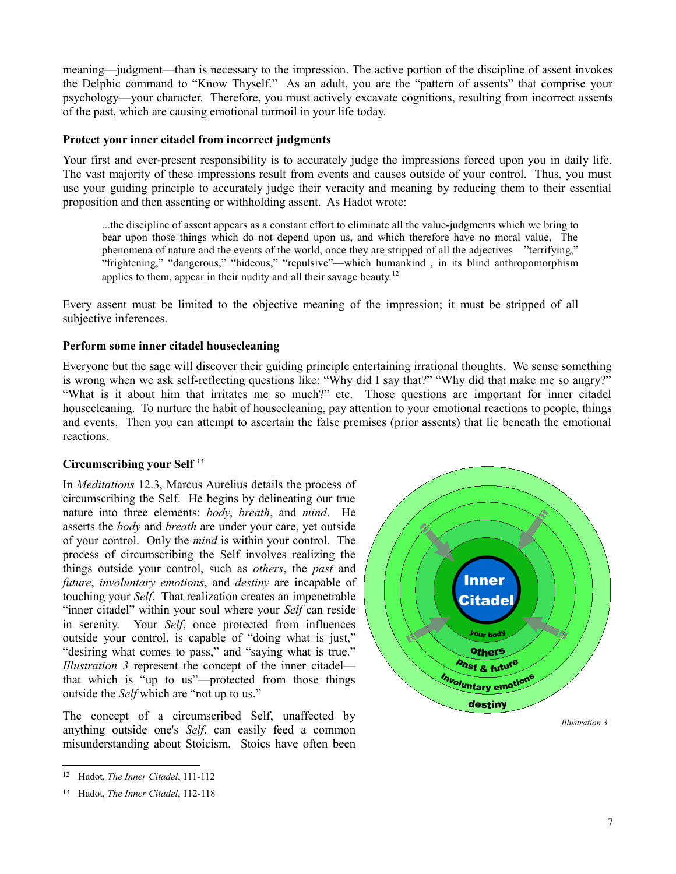meaning—judgment—than is necessary to the impression. The active portion of the discipline of assent invokes the Delphic command to "Know Thyself." As an adult, you are the "pattern of assents" that comprise your psychology—your character. Therefore, you must actively excavate cognitions, resulting from incorrect assents of the past, which are causing emotional turmoil in your life today.

### **Protect your inner citadel from incorrect judgments**

Your first and ever-present responsibility is to accurately judge the impressions forced upon you in daily life. The vast majority of these impressions result from events and causes outside of your control. Thus, you must use your guiding principle to accurately judge their veracity and meaning by reducing them to their essential proposition and then assenting or withholding assent. As Hadot wrote:

...the discipline of assent appears as a constant effort to eliminate all the value-judgments which we bring to bear upon those things which do not depend upon us, and which therefore have no moral value, The phenomena of nature and the events of the world, once they are stripped of all the adjectives—"terrifying," "frightening," "dangerous," "hideous," "repulsive"—which humankind , in its blind anthropomorphism applies to them, appear in their nudity and all their savage beauty.<sup>[12](#page-6-0)</sup>

Every assent must be limited to the objective meaning of the impression; it must be stripped of all subjective inferences.

### **Perform some inner citadel housecleaning**

Everyone but the sage will discover their guiding principle entertaining irrational thoughts. We sense something is wrong when we ask self-reflecting questions like: "Why did I say that?" "Why did that make me so angry?" "What is it about him that irritates me so much?" etc. Those questions are important for inner citadel housecleaning. To nurture the habit of housecleaning, pay attention to your emotional reactions to people, things and events. Then you can attempt to ascertain the false premises (prior assents) that lie beneath the emotional reactions.

### **Circumscribing your Self** [13](#page-6-1)

In *Meditations* 12.3, Marcus Aurelius details the process of circumscribing the Self. He begins by delineating our true nature into three elements: *body*, *breath*, and *mind*. He asserts the *body* and *breath* are under your care, yet outside of your control. Only the *mind* is within your control. The process of circumscribing the Self involves realizing the things outside your control, such as *others*, the *past* and *future*, *involuntary emotions*, and *destiny* are incapable of touching your *Self*. That realization creates an impenetrable "inner citadel" within your soul where your *Self* can reside in serenity. Your *Self*, once protected from influences outside your control, is capable of "doing what is just," "desiring what comes to pass," and "saying what is true." *Illustration 3* represent the concept of the inner citadel that which is "up to us"—protected from those things outside the *Self* which are "not up to us."

The concept of a circumscribed Self, unaffected by anything outside one's *Self*, can easily feed a common misunderstanding about Stoicism. Stoics have often been



<span id="page-6-0"></span><sup>12</sup> Hadot, *The Inner Citadel*, 111-112

<span id="page-6-1"></span><sup>13</sup> Hadot, *The Inner Citadel*, 112-118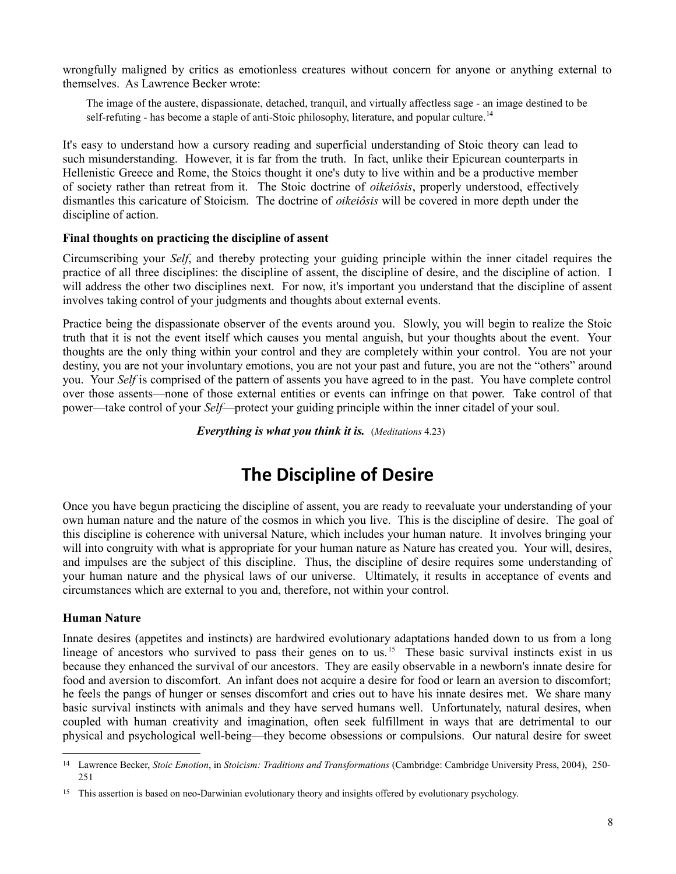wrongfully maligned by critics as emotionless creatures without concern for anyone or anything external to themselves. As Lawrence Becker wrote:

The image of the austere, dispassionate, detached, tranquil, and virtually affectless sage - an image destined to be self-refuting - has become a staple of anti-Stoic philosophy, literature, and popular culture.<sup>[14](#page-7-0)</sup>

It's easy to understand how a cursory reading and superficial understanding of Stoic theory can lead to such misunderstanding. However, it is far from the truth. In fact, unlike their Epicurean counterparts in Hellenistic Greece and Rome, the Stoics thought it one's duty to live within and be a productive member of society rather than retreat from it. The Stoic doctrine of *oikeiôsis*, properly understood, effectively dismantles this caricature of Stoicism. The doctrine of *oikeiôsis* will be covered in more depth under the discipline of action.

### **Final thoughts on practicing the discipline of assent**

Circumscribing your *Self*, and thereby protecting your guiding principle within the inner citadel requires the practice of all three disciplines: the discipline of assent, the discipline of desire, and the discipline of action. I will address the other two disciplines next. For now, it's important you understand that the discipline of assent involves taking control of your judgments and thoughts about external events.

Practice being the dispassionate observer of the events around you. Slowly, you will begin to realize the Stoic truth that it is not the event itself which causes you mental anguish, but your thoughts about the event. Your thoughts are the only thing within your control and they are completely within your control. You are not your destiny, you are not your involuntary emotions, you are not your past and future, you are not the "others" around you. Your *Self* is comprised of the pattern of assents you have agreed to in the past. You have complete control over those assents—none of those external entities or events can infringe on that power. Take control of that power—take control of your *Self*—protect your guiding principle within the inner citadel of your soul.

*Everything is what you think it is.* (*Meditations* 4.23)

# **The Discipline of Desire**

Once you have begun practicing the discipline of assent, you are ready to reevaluate your understanding of your own human nature and the nature of the cosmos in which you live. This is the discipline of desire. The goal of this discipline is coherence with universal Nature, which includes your human nature. It involves bringing your will into congruity with what is appropriate for your human nature as Nature has created you. Your will, desires, and impulses are the subject of this discipline. Thus, the discipline of desire requires some understanding of your human nature and the physical laws of our universe. Ultimately, it results in acceptance of events and circumstances which are external to you and, therefore, not within your control.

### **Human Nature**

Innate desires (appetites and instincts) are hardwired evolutionary adaptations handed down to us from a long lineage of ancestors who survived to pass their genes on to us.<sup>[15](#page-7-1)</sup> These basic survival instincts exist in us because they enhanced the survival of our ancestors. They are easily observable in a newborn's innate desire for food and aversion to discomfort. An infant does not acquire a desire for food or learn an aversion to discomfort; he feels the pangs of hunger or senses discomfort and cries out to have his innate desires met. We share many basic survival instincts with animals and they have served humans well. Unfortunately, natural desires, when coupled with human creativity and imagination, often seek fulfillment in ways that are detrimental to our physical and psychological well-being—they become obsessions or compulsions. Our natural desire for sweet

<span id="page-7-0"></span><sup>14</sup> Lawrence Becker, *Stoic Emotion*, in *Stoicism: Traditions and Transformations* (Cambridge: Cambridge University Press, 2004), 250- 251

<span id="page-7-1"></span><sup>&</sup>lt;sup>15</sup> This assertion is based on neo-Darwinian evolutionary theory and insights offered by evolutionary psychology.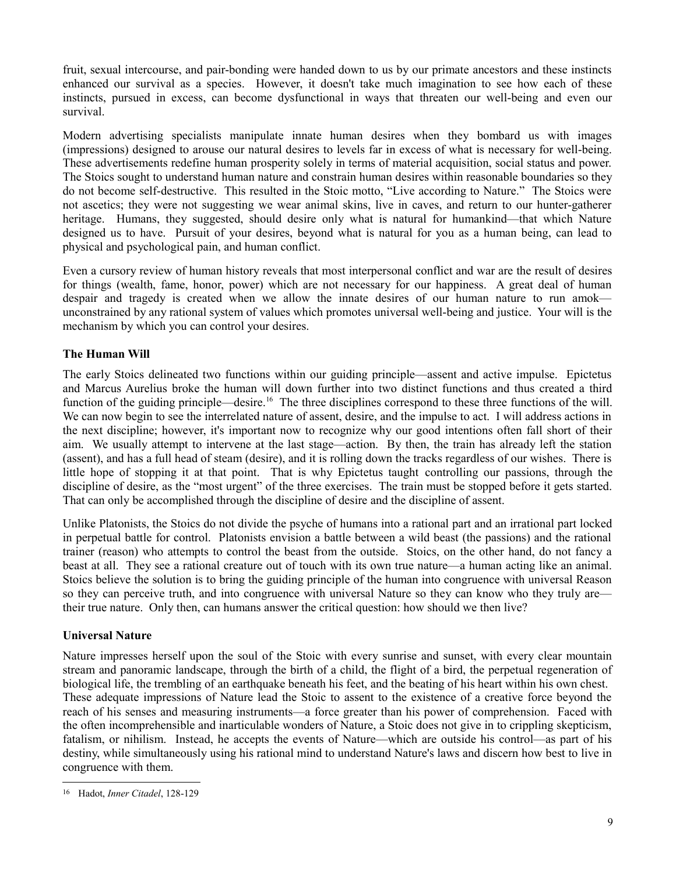fruit, sexual intercourse, and pair-bonding were handed down to us by our primate ancestors and these instincts enhanced our survival as a species. However, it doesn't take much imagination to see how each of these instincts, pursued in excess, can become dysfunctional in ways that threaten our well-being and even our survival.

Modern advertising specialists manipulate innate human desires when they bombard us with images (impressions) designed to arouse our natural desires to levels far in excess of what is necessary for well-being. These advertisements redefine human prosperity solely in terms of material acquisition, social status and power. The Stoics sought to understand human nature and constrain human desires within reasonable boundaries so they do not become self-destructive. This resulted in the Stoic motto, "Live according to Nature." The Stoics were not ascetics; they were not suggesting we wear animal skins, live in caves, and return to our hunter-gatherer heritage. Humans, they suggested, should desire only what is natural for humankind—that which Nature designed us to have. Pursuit of your desires, beyond what is natural for you as a human being, can lead to physical and psychological pain, and human conflict.

Even a cursory review of human history reveals that most interpersonal conflict and war are the result of desires for things (wealth, fame, honor, power) which are not necessary for our happiness. A great deal of human despair and tragedy is created when we allow the innate desires of our human nature to run amok unconstrained by any rational system of values which promotes universal well-being and justice. Your will is the mechanism by which you can control your desires.

### **The Human Will**

The early Stoics delineated two functions within our guiding principle—assent and active impulse. Epictetus and Marcus Aurelius broke the human will down further into two distinct functions and thus created a third function of the guiding principle—desire.<sup>[16](#page-8-0)</sup> The three disciplines correspond to these three functions of the will. We can now begin to see the interrelated nature of assent, desire, and the impulse to act. I will address actions in the next discipline; however, it's important now to recognize why our good intentions often fall short of their aim. We usually attempt to intervene at the last stage—action. By then, the train has already left the station (assent), and has a full head of steam (desire), and it is rolling down the tracks regardless of our wishes. There is little hope of stopping it at that point. That is why Epictetus taught controlling our passions, through the discipline of desire, as the "most urgent" of the three exercises. The train must be stopped before it gets started. That can only be accomplished through the discipline of desire and the discipline of assent.

Unlike Platonists, the Stoics do not divide the psyche of humans into a rational part and an irrational part locked in perpetual battle for control. Platonists envision a battle between a wild beast (the passions) and the rational trainer (reason) who attempts to control the beast from the outside. Stoics, on the other hand, do not fancy a beast at all. They see a rational creature out of touch with its own true nature—a human acting like an animal. Stoics believe the solution is to bring the guiding principle of the human into congruence with universal Reason so they can perceive truth, and into congruence with universal Nature so they can know who they truly are their true nature. Only then, can humans answer the critical question: how should we then live?

### **Universal Nature**

Nature impresses herself upon the soul of the Stoic with every sunrise and sunset, with every clear mountain stream and panoramic landscape, through the birth of a child, the flight of a bird, the perpetual regeneration of biological life, the trembling of an earthquake beneath his feet, and the beating of his heart within his own chest. These adequate impressions of Nature lead the Stoic to assent to the existence of a creative force beyond the reach of his senses and measuring instruments—a force greater than his power of comprehension. Faced with the often incomprehensible and inarticulable wonders of Nature, a Stoic does not give in to crippling skepticism, fatalism, or nihilism. Instead, he accepts the events of Nature—which are outside his control—as part of his destiny, while simultaneously using his rational mind to understand Nature's laws and discern how best to live in congruence with them.

<span id="page-8-0"></span><sup>16</sup> Hadot, *Inner Citadel*, 128-129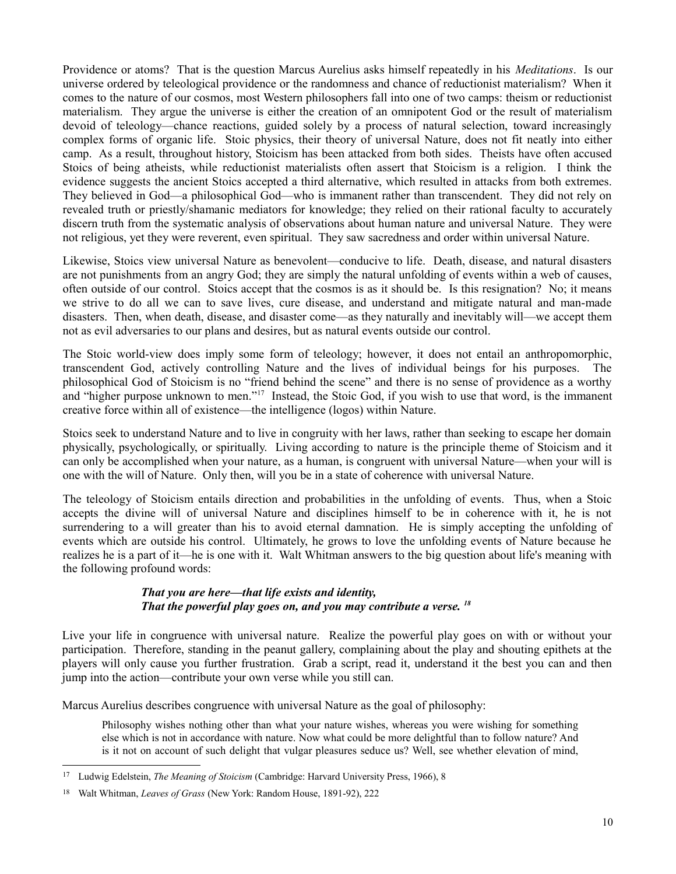Providence or atoms? That is the question Marcus Aurelius asks himself repeatedly in his *Meditations*. Is our universe ordered by teleological providence or the randomness and chance of reductionist materialism? When it comes to the nature of our cosmos, most Western philosophers fall into one of two camps: theism or reductionist materialism. They argue the universe is either the creation of an omnipotent God or the result of materialism devoid of teleology—chance reactions, guided solely by a process of natural selection, toward increasingly complex forms of organic life. Stoic physics, their theory of universal Nature, does not fit neatly into either camp. As a result, throughout history, Stoicism has been attacked from both sides. Theists have often accused Stoics of being atheists, while reductionist materialists often assert that Stoicism is a religion. I think the evidence suggests the ancient Stoics accepted a third alternative, which resulted in attacks from both extremes. They believed in God—a philosophical God—who is immanent rather than transcendent. They did not rely on revealed truth or priestly/shamanic mediators for knowledge; they relied on their rational faculty to accurately discern truth from the systematic analysis of observations about human nature and universal Nature. They were not religious, yet they were reverent, even spiritual. They saw sacredness and order within universal Nature.

Likewise, Stoics view universal Nature as benevolent—conducive to life. Death, disease, and natural disasters are not punishments from an angry God; they are simply the natural unfolding of events within a web of causes, often outside of our control. Stoics accept that the cosmos is as it should be. Is this resignation? No; it means we strive to do all we can to save lives, cure disease, and understand and mitigate natural and man-made disasters. Then, when death, disease, and disaster come—as they naturally and inevitably will—we accept them not as evil adversaries to our plans and desires, but as natural events outside our control.

The Stoic world-view does imply some form of teleology; however, it does not entail an anthropomorphic, transcendent God, actively controlling Nature and the lives of individual beings for his purposes. The philosophical God of Stoicism is no "friend behind the scene" and there is no sense of providence as a worthy and "higher purpose unknown to men."<sup>[17](#page-9-0)</sup> Instead, the Stoic God, if you wish to use that word, is the immanent creative force within all of existence—the intelligence (logos) within Nature.

Stoics seek to understand Nature and to live in congruity with her laws, rather than seeking to escape her domain physically, psychologically, or spiritually. Living according to nature is the principle theme of Stoicism and it can only be accomplished when your nature, as a human, is congruent with universal Nature—when your will is one with the will of Nature. Only then, will you be in a state of coherence with universal Nature.

The teleology of Stoicism entails direction and probabilities in the unfolding of events. Thus, when a Stoic accepts the divine will of universal Nature and disciplines himself to be in coherence with it, he is not surrendering to a will greater than his to avoid eternal damnation. He is simply accepting the unfolding of events which are outside his control. Ultimately, he grows to love the unfolding events of Nature because he realizes he is a part of it—he is one with it. Walt Whitman answers to the big question about life's meaning with the following profound words:

### *That you are here—that life exists and identity, That the powerful play goes on, and you may contribute a verse. [18](#page-9-1)*

Live your life in congruence with universal nature. Realize the powerful play goes on with or without your participation. Therefore, standing in the peanut gallery, complaining about the play and shouting epithets at the players will only cause you further frustration. Grab a script, read it, understand it the best you can and then jump into the action—contribute your own verse while you still can.

Marcus Aurelius describes congruence with universal Nature as the goal of philosophy:

Philosophy wishes nothing other than what your nature wishes, whereas you were wishing for something else which is not in accordance with nature. Now what could be more delightful than to follow nature? And is it not on account of such delight that vulgar pleasures seduce us? Well, see whether elevation of mind,

<span id="page-9-0"></span><sup>17</sup> Ludwig Edelstein, *The Meaning of Stoicism* (Cambridge: Harvard University Press, 1966), 8

<span id="page-9-1"></span><sup>18</sup> Walt Whitman, *Leaves of Grass* (New York: Random House, 1891-92), 222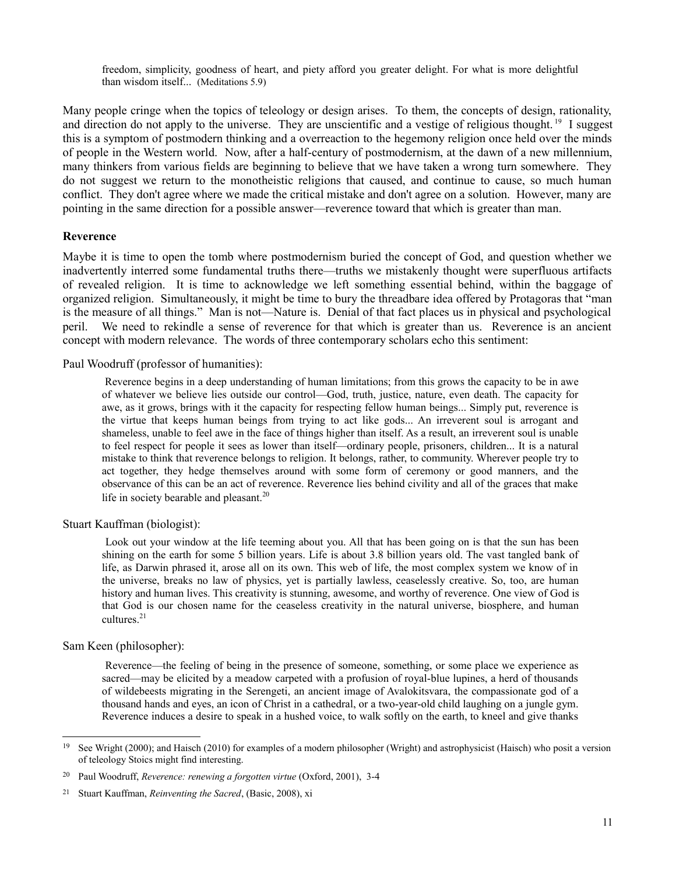freedom, simplicity, goodness of heart, and piety afford you greater delight. For what is more delightful than wisdom itself... (Meditations 5.9)

Many people cringe when the topics of teleology or design arises. To them, the concepts of design, rationality, and direction do not apply to the universe. They are unscientific and a vestige of religious thought.<sup>[19](#page-10-0)</sup> I suggest this is a symptom of postmodern thinking and a overreaction to the hegemony religion once held over the minds of people in the Western world. Now, after a half-century of postmodernism, at the dawn of a new millennium, many thinkers from various fields are beginning to believe that we have taken a wrong turn somewhere. They do not suggest we return to the monotheistic religions that caused, and continue to cause, so much human conflict. They don't agree where we made the critical mistake and don't agree on a solution. However, many are pointing in the same direction for a possible answer—reverence toward that which is greater than man.

#### **Reverence**

Maybe it is time to open the tomb where postmodernism buried the concept of God, and question whether we inadvertently interred some fundamental truths there—truths we mistakenly thought were superfluous artifacts of revealed religion. It is time to acknowledge we left something essential behind, within the baggage of organized religion. Simultaneously, it might be time to bury the threadbare idea offered by Protagoras that "man is the measure of all things." Man is not—Nature is. Denial of that fact places us in physical and psychological peril. We need to rekindle a sense of reverence for that which is greater than us. Reverence is an ancient concept with modern relevance. The words of three contemporary scholars echo this sentiment:

Paul Woodruff (professor of humanities):

 Reverence begins in a deep understanding of human limitations; from this grows the capacity to be in awe of whatever we believe lies outside our control—God, truth, justice, nature, even death. The capacity for awe, as it grows, brings with it the capacity for respecting fellow human beings... Simply put, reverence is the virtue that keeps human beings from trying to act like gods... An irreverent soul is arrogant and shameless, unable to feel awe in the face of things higher than itself. As a result, an irreverent soul is unable to feel respect for people it sees as lower than itself—ordinary people, prisoners, children... It is a natural mistake to think that reverence belongs to religion. It belongs, rather, to community. Wherever people try to act together, they hedge themselves around with some form of ceremony or good manners, and the observance of this can be an act of reverence. Reverence lies behind civility and all of the graces that make life in society bearable and pleasant.<sup>[20](#page-10-1)</sup>

Stuart Kauffman (biologist):

 Look out your window at the life teeming about you. All that has been going on is that the sun has been shining on the earth for some 5 billion years. Life is about 3.8 billion years old. The vast tangled bank of life, as Darwin phrased it, arose all on its own. This web of life, the most complex system we know of in the universe, breaks no law of physics, yet is partially lawless, ceaselessly creative. So, too, are human history and human lives. This creativity is stunning, awesome, and worthy of reverence. One view of God is that God is our chosen name for the ceaseless creativity in the natural universe, biosphere, and human cultures. $21$ 

Sam Keen (philosopher):

 Reverence—the feeling of being in the presence of someone, something, or some place we experience as sacred—may be elicited by a meadow carpeted with a profusion of royal-blue lupines, a herd of thousands of wildebeests migrating in the Serengeti, an ancient image of Avalokitsvara, the compassionate god of a thousand hands and eyes, an icon of Christ in a cathedral, or a two-year-old child laughing on a jungle gym. Reverence induces a desire to speak in a hushed voice, to walk softly on the earth, to kneel and give thanks

<span id="page-10-0"></span><sup>&</sup>lt;sup>19</sup> See Wright (2000); and Haisch (2010) for examples of a modern philosopher (Wright) and astrophysicist (Haisch) who posit a version of teleology Stoics might find interesting.

<span id="page-10-1"></span><sup>20</sup> Paul Woodruff, *Reverence: renewing a forgotten virtue* (Oxford, 2001), 3-4

<span id="page-10-2"></span><sup>21</sup> Stuart Kauffman, *Reinventing the Sacred*, (Basic, 2008), xi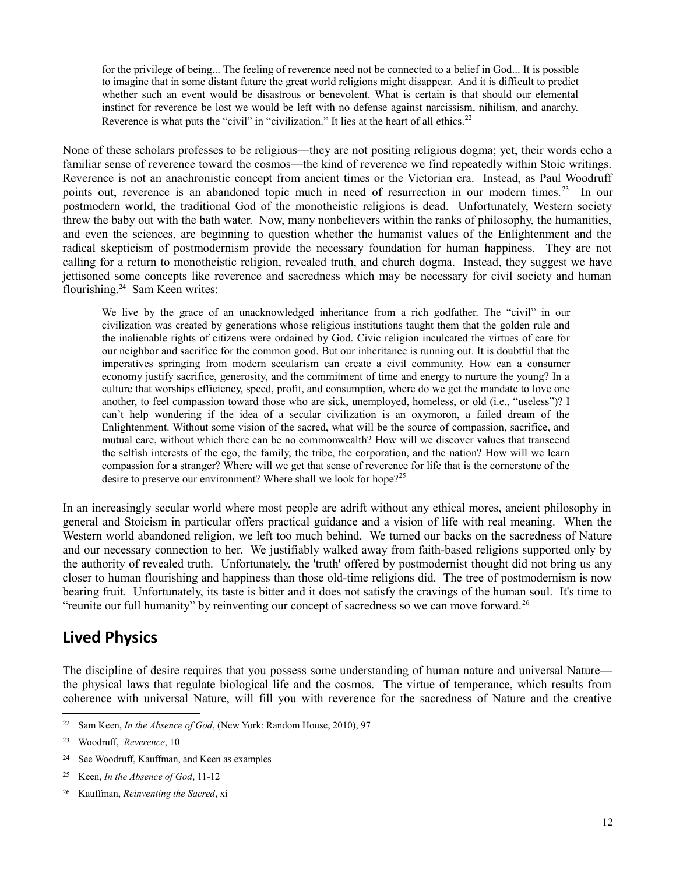for the privilege of being... The feeling of reverence need not be connected to a belief in God... It is possible to imagine that in some distant future the great world religions might disappear. And it is difficult to predict whether such an event would be disastrous or benevolent. What is certain is that should our elemental instinct for reverence be lost we would be left with no defense against narcissism, nihilism, and anarchy. Reverence is what puts the "civil" in "civilization." It lies at the heart of all ethics.<sup>[22](#page-11-0)</sup>

None of these scholars professes to be religious—they are not positing religious dogma; yet, their words echo a familiar sense of reverence toward the cosmos—the kind of reverence we find repeatedly within Stoic writings. Reverence is not an anachronistic concept from ancient times or the Victorian era. Instead, as Paul Woodruff points out, reverence is an abandoned topic much in need of resurrection in our modern times.<sup>[23](#page-11-1)</sup> In our postmodern world, the traditional God of the monotheistic religions is dead. Unfortunately, Western society threw the baby out with the bath water. Now, many nonbelievers within the ranks of philosophy, the humanities, and even the sciences, are beginning to question whether the humanist values of the Enlightenment and the radical skepticism of postmodernism provide the necessary foundation for human happiness. They are not calling for a return to monotheistic religion, revealed truth, and church dogma. Instead, they suggest we have jettisoned some concepts like reverence and sacredness which may be necessary for civil society and human flourishing.[24](#page-11-2) Sam Keen writes:

We live by the grace of an unacknowledged inheritance from a rich godfather. The "civil" in our civilization was created by generations whose religious institutions taught them that the golden rule and the inalienable rights of citizens were ordained by God. Civic religion inculcated the virtues of care for our neighbor and sacrifice for the common good. But our inheritance is running out. It is doubtful that the imperatives springing from modern secularism can create a civil community. How can a consumer economy justify sacrifice, generosity, and the commitment of time and energy to nurture the young? In a culture that worships efficiency, speed, profit, and consumption, where do we get the mandate to love one another, to feel compassion toward those who are sick, unemployed, homeless, or old (i.e., "useless")? I can't help wondering if the idea of a secular civilization is an oxymoron, a failed dream of the Enlightenment. Without some vision of the sacred, what will be the source of compassion, sacrifice, and mutual care, without which there can be no commonwealth? How will we discover values that transcend the selfish interests of the ego, the family, the tribe, the corporation, and the nation? How will we learn compassion for a stranger? Where will we get that sense of reverence for life that is the cornerstone of the desire to preserve our environment? Where shall we look for hope?<sup>[25](#page-11-3)</sup>

In an increasingly secular world where most people are adrift without any ethical mores, ancient philosophy in general and Stoicism in particular offers practical guidance and a vision of life with real meaning. When the Western world abandoned religion, we left too much behind. We turned our backs on the sacredness of Nature and our necessary connection to her. We justifiably walked away from faith-based religions supported only by the authority of revealed truth. Unfortunately, the 'truth' offered by postmodernist thought did not bring us any closer to human flourishing and happiness than those old-time religions did. The tree of postmodernism is now bearing fruit. Unfortunately, its taste is bitter and it does not satisfy the cravings of the human soul. It's time to "reunite our full humanity" by reinventing our concept of sacredness so we can move forward.<sup>[26](#page-11-4)</sup>

### **Lived Physics**

The discipline of desire requires that you possess some understanding of human nature and universal Nature the physical laws that regulate biological life and the cosmos. The virtue of temperance, which results from coherence with universal Nature, will fill you with reverence for the sacredness of Nature and the creative

<span id="page-11-0"></span><sup>22</sup> Sam Keen, *In the Absence of God*, (New York: Random House, 2010), 97

<span id="page-11-1"></span><sup>23</sup> Woodruff, *Reverence*, 10

<span id="page-11-2"></span><sup>24</sup> See Woodruff, Kauffman, and Keen as examples

<span id="page-11-3"></span><sup>25</sup> Keen, *In the Absence of God*, 11-12

<span id="page-11-4"></span><sup>26</sup> Kauffman, *Reinventing the Sacred*, xi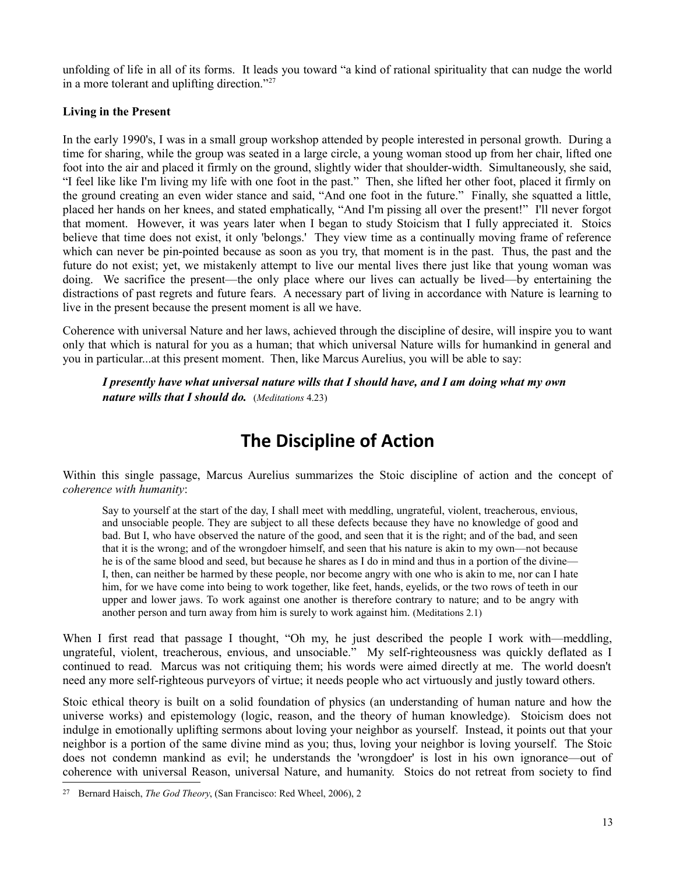unfolding of life in all of its forms. It leads you toward "a kind of rational spirituality that can nudge the world in a more tolerant and uplifting direction."[27](#page-12-0)

### **Living in the Present**

In the early 1990's, I was in a small group workshop attended by people interested in personal growth. During a time for sharing, while the group was seated in a large circle, a young woman stood up from her chair, lifted one foot into the air and placed it firmly on the ground, slightly wider that shoulder-width. Simultaneously, she said, "I feel like like I'm living my life with one foot in the past." Then, she lifted her other foot, placed it firmly on the ground creating an even wider stance and said, "And one foot in the future." Finally, she squatted a little, placed her hands on her knees, and stated emphatically, "And I'm pissing all over the present!" I'll never forgot that moment. However, it was years later when I began to study Stoicism that I fully appreciated it. Stoics believe that time does not exist, it only 'belongs.' They view time as a continually moving frame of reference which can never be pin-pointed because as soon as you try, that moment is in the past. Thus, the past and the future do not exist; yet, we mistakenly attempt to live our mental lives there just like that young woman was doing. We sacrifice the present—the only place where our lives can actually be lived—by entertaining the distractions of past regrets and future fears. A necessary part of living in accordance with Nature is learning to live in the present because the present moment is all we have.

Coherence with universal Nature and her laws, achieved through the discipline of desire, will inspire you to want only that which is natural for you as a human; that which universal Nature wills for humankind in general and you in particular...at this present moment. Then, like Marcus Aurelius, you will be able to say:

*I presently have what universal nature wills that I should have, and I am doing what my own nature wills that I should do.* (*Meditations* 4.23)

# **The Discipline of Action**

Within this single passage, Marcus Aurelius summarizes the Stoic discipline of action and the concept of *coherence with humanity*:

Say to yourself at the start of the day, I shall meet with meddling, ungrateful, violent, treacherous, envious, and unsociable people. They are subject to all these defects because they have no knowledge of good and bad. But I, who have observed the nature of the good, and seen that it is the right; and of the bad, and seen that it is the wrong; and of the wrongdoer himself, and seen that his nature is akin to my own—not because he is of the same blood and seed, but because he shares as I do in mind and thus in a portion of the divine— I, then, can neither be harmed by these people, nor become angry with one who is akin to me, nor can I hate him, for we have come into being to work together, like feet, hands, eyelids, or the two rows of teeth in our upper and lower jaws. To work against one another is therefore contrary to nature; and to be angry with another person and turn away from him is surely to work against him. (Meditations 2.1)

When I first read that passage I thought, "Oh my, he just described the people I work with—meddling, ungrateful, violent, treacherous, envious, and unsociable." My self-righteousness was quickly deflated as I continued to read. Marcus was not critiquing them; his words were aimed directly at me. The world doesn't need any more self-righteous purveyors of virtue; it needs people who act virtuously and justly toward others.

Stoic ethical theory is built on a solid foundation of physics (an understanding of human nature and how the universe works) and epistemology (logic, reason, and the theory of human knowledge). Stoicism does not indulge in emotionally uplifting sermons about loving your neighbor as yourself. Instead, it points out that your neighbor is a portion of the same divine mind as you; thus, loving your neighbor is loving yourself. The Stoic does not condemn mankind as evil; he understands the 'wrongdoer' is lost in his own ignorance—out of coherence with universal Reason, universal Nature, and humanity. Stoics do not retreat from society to find

<span id="page-12-0"></span><sup>27</sup> Bernard Haisch, *The God Theory*, (San Francisco: Red Wheel, 2006), 2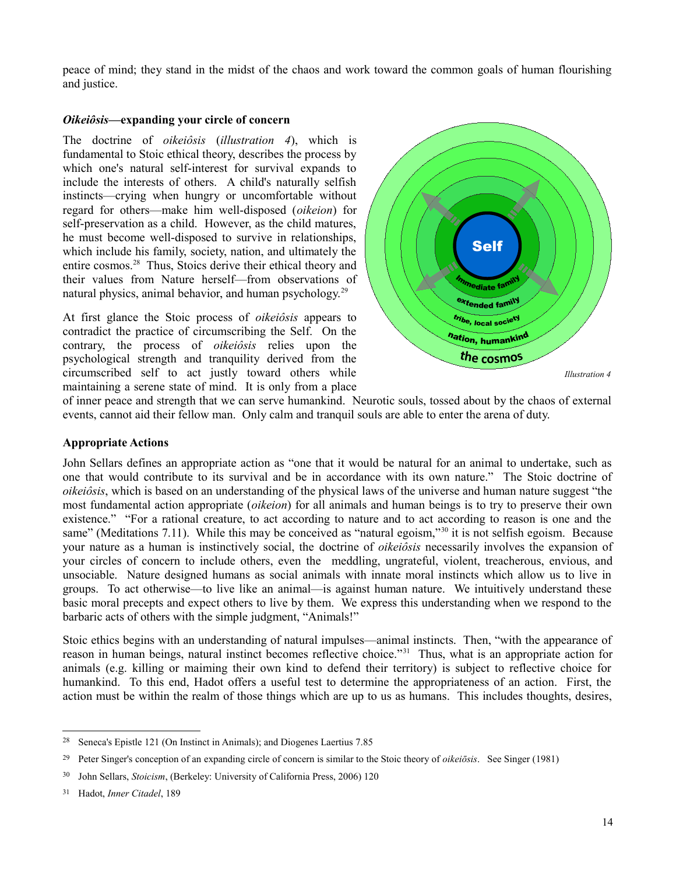peace of mind; they stand in the midst of the chaos and work toward the common goals of human flourishing and justice.

### *Oikeiôsis***—expanding your circle of concern**

The doctrine of *oikeiôsis* (*illustration 4*), which is fundamental to Stoic ethical theory, describes the process by which one's natural self-interest for survival expands to include the interests of others. A child's naturally selfish instincts—crying when hungry or uncomfortable without regard for others—make him well-disposed (*oikeion*) for self-preservation as a child. However, as the child matures, he must become well-disposed to survive in relationships, which include his family, society, nation, and ultimately the entire cosmos.<sup>[28](#page-13-0)</sup> Thus, Stoics derive their ethical theory and their values from Nature herself—from observations of natural physics, animal behavior, and human psychology.<sup>[29](#page-13-1)</sup>

At first glance the Stoic process of *oikeiôsis* appears to contradict the practice of circumscribing the Self. On the contrary, the process of *oikeiôsis* relies upon the psychological strength and tranquility derived from the circumscribed self to act justly toward others while maintaining a serene state of mind. It is only from a place



of inner peace and strength that we can serve humankind. Neurotic souls, tossed about by the chaos of external events, cannot aid their fellow man. Only calm and tranquil souls are able to enter the arena of duty.

### **Appropriate Actions**

John Sellars defines an appropriate action as "one that it would be natural for an animal to undertake, such as one that would contribute to its survival and be in accordance with its own nature." The Stoic doctrine of *oikeiôsis*, which is based on an understanding of the physical laws of the universe and human nature suggest "the most fundamental action appropriate (*oikeion*) for all animals and human beings is to try to preserve their own existence." "For a rational creature, to act according to nature and to act according to reason is one and the same" (Meditations 7.11). While this may be conceived as "natural egoism,"<sup>[30](#page-13-2)</sup> it is not selfish egoism. Because your nature as a human is instinctively social, the doctrine of *oikeiôsis* necessarily involves the expansion of your circles of concern to include others, even the meddling, ungrateful, violent, treacherous, envious, and unsociable. Nature designed humans as social animals with innate moral instincts which allow us to live in groups. To act otherwise—to live like an animal—is against human nature. We intuitively understand these basic moral precepts and expect others to live by them. We express this understanding when we respond to the barbaric acts of others with the simple judgment, "Animals!"

Stoic ethics begins with an understanding of natural impulses—animal instincts. Then, "with the appearance of reason in human beings, natural instinct becomes reflective choice."[31](#page-13-3) Thus, what is an appropriate action for animals (e.g. killing or maiming their own kind to defend their territory) is subject to reflective choice for humankind. To this end, Hadot offers a useful test to determine the appropriateness of an action. First, the action must be within the realm of those things which are up to us as humans. This includes thoughts, desires,

<span id="page-13-0"></span><sup>28</sup> Seneca's Epistle 121 (On Instinct in Animals); and Diogenes Laertius 7.85

<span id="page-13-1"></span><sup>29</sup> Peter Singer's conception of an expanding circle of concern is similar to the Stoic theory of *oikeiōsis*. See Singer (1981)

<span id="page-13-2"></span><sup>30</sup> John Sellars, *Stoicism*, (Berkeley: University of California Press, 2006) 120

<span id="page-13-3"></span><sup>31</sup> Hadot, *Inner Citadel*, 189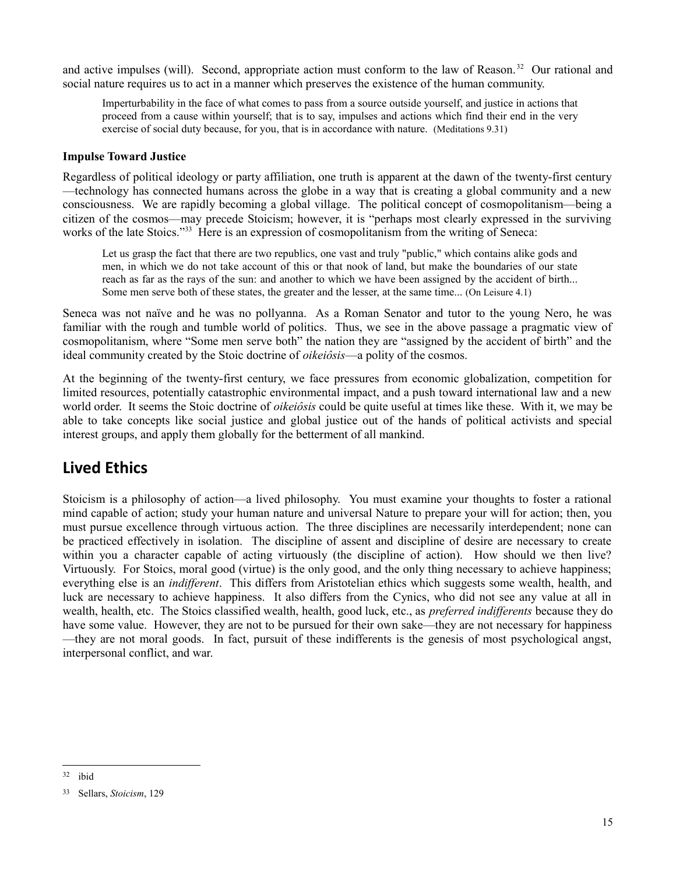and active impulses (will). Second, appropriate action must conform to the law of Reason.<sup>[32](#page-14-0)</sup> Our rational and social nature requires us to act in a manner which preserves the existence of the human community.

Imperturbability in the face of what comes to pass from a source outside yourself, and justice in actions that proceed from a cause within yourself; that is to say, impulses and actions which find their end in the very exercise of social duty because, for you, that is in accordance with nature. (Meditations 9.31)

### **Impulse Toward Justice**

Regardless of political ideology or party affiliation, one truth is apparent at the dawn of the twenty-first century —technology has connected humans across the globe in a way that is creating a global community and a new consciousness. We are rapidly becoming a global village. The political concept of cosmopolitanism—being a citizen of the cosmos—may precede Stoicism; however, it is "perhaps most clearly expressed in the surviving works of the late Stoics."<sup>[33](#page-14-1)</sup> Here is an expression of cosmopolitanism from the writing of Seneca:

Let us grasp the fact that there are two republics, one vast and truly "public," which contains alike gods and men, in which we do not take account of this or that nook of land, but make the boundaries of our state reach as far as the rays of the sun: and another to which we have been assigned by the accident of birth... Some men serve both of these states, the greater and the lesser, at the same time... (On Leisure 4.1)

Seneca was not naïve and he was no pollyanna. As a Roman Senator and tutor to the young Nero, he was familiar with the rough and tumble world of politics. Thus, we see in the above passage a pragmatic view of cosmopolitanism, where "Some men serve both" the nation they are "assigned by the accident of birth" and the ideal community created by the Stoic doctrine of *oikeiôsis*—a polity of the cosmos.

At the beginning of the twenty-first century, we face pressures from economic globalization, competition for limited resources, potentially catastrophic environmental impact, and a push toward international law and a new world order. It seems the Stoic doctrine of *oikeiôsis* could be quite useful at times like these. With it, we may be able to take concepts like social justice and global justice out of the hands of political activists and special interest groups, and apply them globally for the betterment of all mankind.

### **Lived Ethics**

Stoicism is a philosophy of action—a lived philosophy. You must examine your thoughts to foster a rational mind capable of action; study your human nature and universal Nature to prepare your will for action; then, you must pursue excellence through virtuous action. The three disciplines are necessarily interdependent; none can be practiced effectively in isolation. The discipline of assent and discipline of desire are necessary to create within you a character capable of acting virtuously (the discipline of action). How should we then live? Virtuously. For Stoics, moral good (virtue) is the only good, and the only thing necessary to achieve happiness; everything else is an *indifferent*. This differs from Aristotelian ethics which suggests some wealth, health, and luck are necessary to achieve happiness. It also differs from the Cynics, who did not see any value at all in wealth, health, etc. The Stoics classified wealth, health, good luck, etc., as *preferred indifferents* because they do have some value. However, they are not to be pursued for their own sake—they are not necessary for happiness —they are not moral goods. In fact, pursuit of these indifferents is the genesis of most psychological angst, interpersonal conflict, and war.

<span id="page-14-0"></span><sup>32</sup> ibid

<span id="page-14-1"></span><sup>33</sup> Sellars, *Stoicism*, 129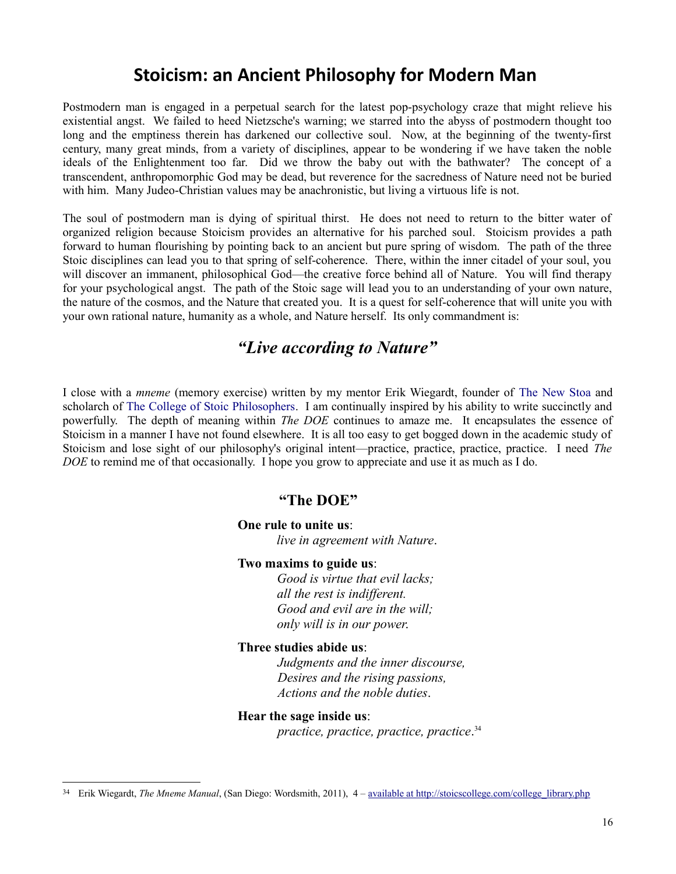## **Stoicism: an Ancient Philosophy for Modern Man**

Postmodern man is engaged in a perpetual search for the latest pop-psychology craze that might relieve his existential angst. We failed to heed Nietzsche's warning; we starred into the abyss of postmodern thought too long and the emptiness therein has darkened our collective soul. Now, at the beginning of the twenty-first century, many great minds, from a variety of disciplines, appear to be wondering if we have taken the noble ideals of the Enlightenment too far. Did we throw the baby out with the bathwater? The concept of a transcendent, anthropomorphic God may be dead, but reverence for the sacredness of Nature need not be buried with him. Many Judeo-Christian values may be anachronistic, but living a virtuous life is not.

The soul of postmodern man is dying of spiritual thirst. He does not need to return to the bitter water of organized religion because Stoicism provides an alternative for his parched soul. Stoicism provides a path forward to human flourishing by pointing back to an ancient but pure spring of wisdom. The path of the three Stoic disciplines can lead you to that spring of self-coherence. There, within the inner citadel of your soul, you will discover an immanent, philosophical God—the creative force behind all of Nature. You will find therapy for your psychological angst. The path of the Stoic sage will lead you to an understanding of your own nature, the nature of the cosmos, and the Nature that created you. It is a quest for self-coherence that will unite you with your own rational nature, humanity as a whole, and Nature herself. Its only commandment is:

### *"Live according to Nature"*

I close with a *mneme* (memory exercise) written by my mentor Erik Wiegardt, founder of [The New Stoa](http://www.newstoa.com/index.php) and scholarch of [The College of Stoic Philosophers.](http://stoicscollege.com/) I am continually inspired by his ability to write succinctly and powerfully. The depth of meaning within *The DOE* continues to amaze me. It encapsulates the essence of Stoicism in a manner I have not found elsewhere. It is all too easy to get bogged down in the academic study of Stoicism and lose sight of our philosophy's original intent—practice, practice, practice, practice. I need *The DOE* to remind me of that occasionally. I hope you grow to appreciate and use it as much as I do.

### **"The DOE"**

### **One rule to unite us**:

*live in agreement with Nature*.

#### **Two maxims to guide us**:

*Good is virtue that evil lacks; all the rest is indifferent. Good and evil are in the will; only will is in our power*.

### **Three studies abide us**:

*Judgments and the inner discourse, Desires and the rising passions, Actions and the noble duties*.

#### **Hear the sage inside us**:

*practice, practice, practice, practice*. [34](#page-15-0)

<span id="page-15-0"></span><sup>&</sup>lt;sup>34</sup> Erik Wiegardt, *The Mneme Manual*, (San Diego: Wordsmith, 2011), 4 – [available at http://stoicscollege.com/college\\_library.php](http://stoicscollege.com/college_library.php)